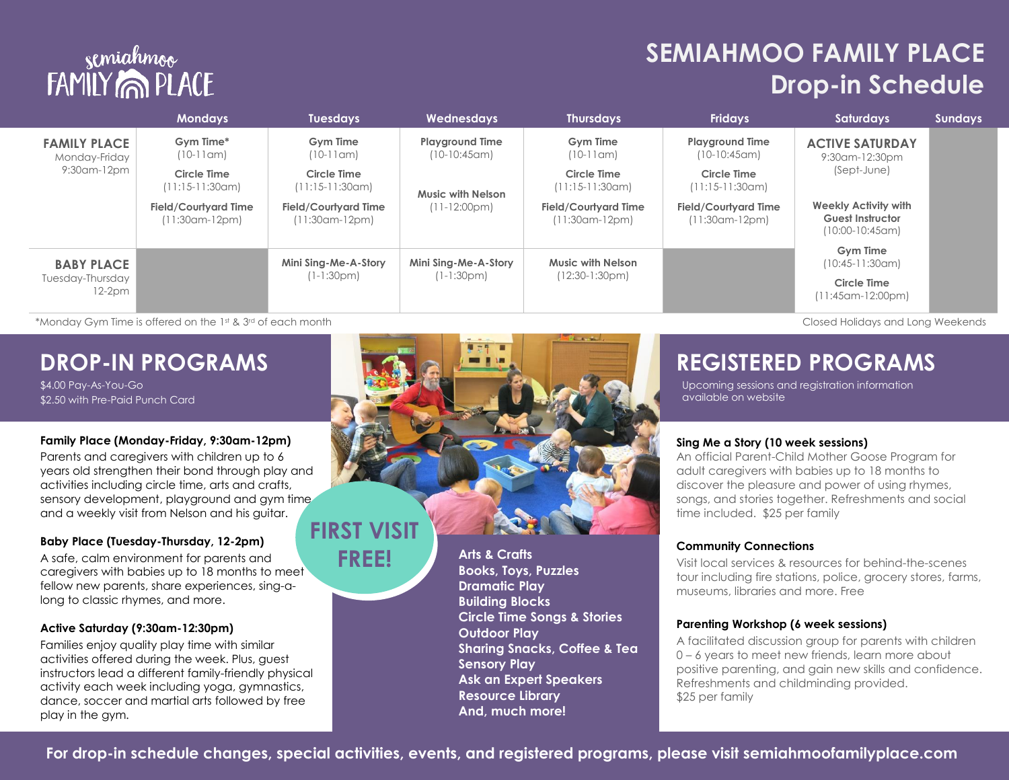# semiahmoo<br>FAMILY MOD PLACE

## **SEMIAHMOO FAMILY PLACE Drop-in Schedule**

|                                                     | <b>Mondays</b>                                   | <b>Tuesdays</b>                               | <b>Wednesdays</b>                        | <b>Thursdays</b>                                 | <b>Fridays</b>                                  | <b>Saturdays</b>                                                                                                                 | <b>Sundays</b> |
|-----------------------------------------------------|--------------------------------------------------|-----------------------------------------------|------------------------------------------|--------------------------------------------------|-------------------------------------------------|----------------------------------------------------------------------------------------------------------------------------------|----------------|
| <b>FAMILY PLACE</b><br>Monday-Friday<br>9:30am-12pm | Gym Time*<br>$(10-11$ am $)$                     | Gym Time<br>$(10-11$ am)                      | <b>Playground Time</b><br>$(10-10:45cm)$ | <b>Gym</b> Time<br>$(10-11$ am)                  | <b>Playground Time</b><br>$(10-10:45cm)$        | <b>ACTIVE SATURDAY</b><br>9:30am-12:30pm<br>(Sept-June)<br>Weekly Activity with<br><b>Guest Instructor</b><br>$(10:00-10:45$ am) |                |
|                                                     | Circle Time<br>$(11:15-11:30cm)$                 | Circle Time<br>(11:15-11:30am)                | Music with Nelson<br>$(11-12:00pm)$      | Circle Time<br>$(11:15-11:30cm)$                 | Circle Time<br>(11:15-11:30am)                  |                                                                                                                                  |                |
|                                                     | <b>Field/Courtyard Time</b><br>$(11:30$ am-12pm) | <b>Field/Courtyard Time</b><br>(11:30am-12pm) |                                          | <b>Field/Courtyard Time</b><br>$(11:30$ am-12pm) | <b>Field/Courtyard Time</b><br>$(11:30cm-12pm)$ |                                                                                                                                  |                |
| <b>BABY PLACE</b><br>Tuesday-Thursday<br>$12-2pm$   |                                                  | Mini Sing-Me-A-Story                          | Mini Sing-Me-A-Story<br>$(1-1:30pm)$     | Music with Nelson<br>$(12:30-1:30pm)$            |                                                 | <b>Gym Time</b><br>$(10:45-11:30$ am)                                                                                            |                |
|                                                     |                                                  | (1-1:30pm)                                    |                                          |                                                  |                                                 | <b>Circle Time</b><br>$(11:45$ am-12:00pm)                                                                                       |                |

\*Monday Gym Time is offered on the 1st & 3rd of each month Closed Holidays and Long Weekends

### **DROP-IN PROGRAMS**

\$4.00 Pay-As-You-Go \$2.50 with Pre-Paid Punch Card

#### **Family Place (Monday-Friday, 9:30am-12pm)**

Parents and caregivers with children up to 6 years old strengthen their bond through play and activities including circle time, arts and crafts, sensory development, playground and gym time, and a weekly visit from Nelson and his guitar.

#### **Baby Place (Tuesday-Thursday, 12-2pm)**

A safe, calm environment for parents and caregivers with babies up to 18 months to meet fellow new parents, share experiences, sing-along to classic rhymes, and more.

#### **Active Saturday (9:30am-12:30pm)**

Families enjoy quality play time with similar activities offered during the week. Plus, guest instructors lead a different family-friendly physical activity each week including yoga, gymnastics, dance, soccer and martial arts followed by free play in the gym.



**Dramatic Play Building Blocks Circle Time Songs & Stories Outdoor Play Sharing Snacks, Coffee & Tea Sensory Play Ask an Expert Speakers Resource Library And, much more!**

### **REGISTERED PROGRAMS**

Upcoming sessions and registration information available on website

#### **Sing Me a Story (10 week sessions)**

An official Parent-Child Mother Goose Program for adult caregivers with babies up to 18 months to discover the pleasure and power of using rhymes, songs, and stories together. Refreshments and social time included. \$25 per family

#### **Community Connections**

Visit local services & resources for behind-the-scenes tour including fire stations, police, grocery stores, farms, museums, libraries and more. Free

#### **Parenting Workshop (6 week sessions)**

A facilitated discussion group for parents with children 0 – 6 years to meet new friends, learn more about positive parenting, and gain new skills and confidence. Refreshments and childminding provided. \$25 per family

**For drop-in schedule changes, special activities, events, and registered programs, please visit semiahmoofamilyplace.com**